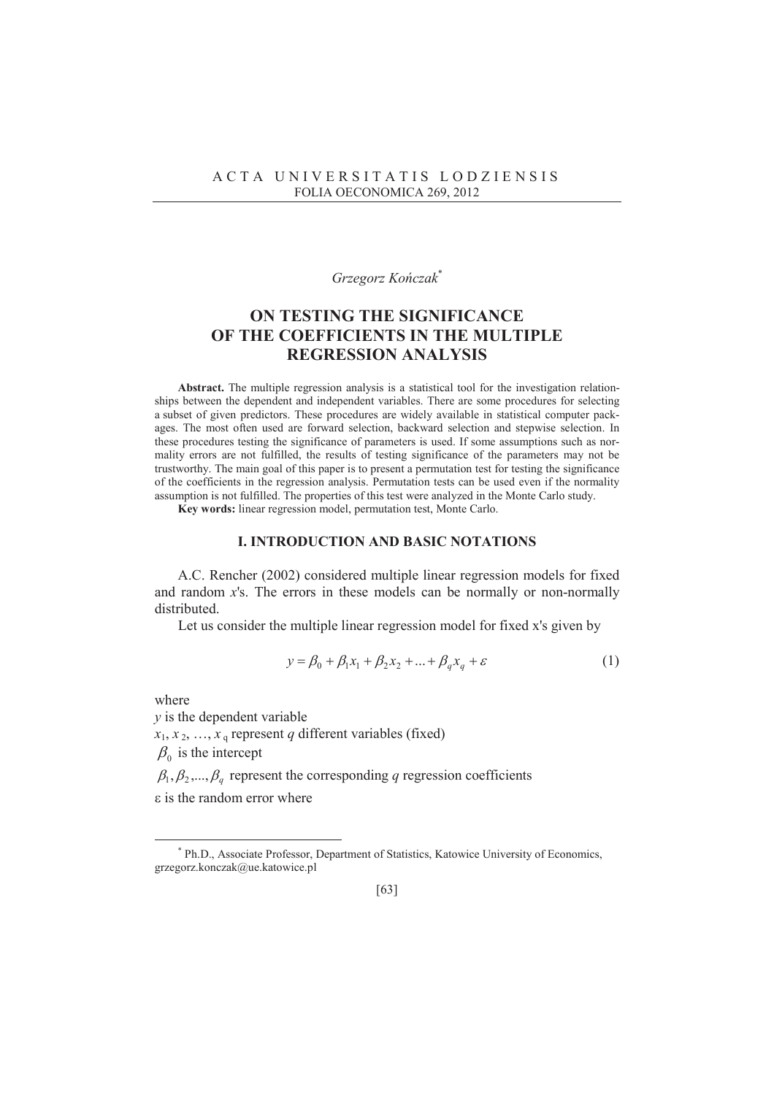## $G$ *rzegorz Kończak*\*

# **ON TESTING THE SIGNIFICANCE OF THE COEFFICIENTS IN THE MULTIPLE REGRESSION ANALYSIS**

**Abstract.** The multiple regression analysis is a statistical tool for the investigation relationships between the dependent and independent variables. There are some procedures for selecting a subset of given predictors. These procedures are widely available in statistical computer packages. The most often used are forward selection, backward selection and stepwise selection. In these procedures testing the significance of parameters is used. If some assumptions such as normality errors are not fulfilled, the results of testing significance of the parameters may not be trustworthy. The main goal of this paper is to present a permutation test for testing the significance of the coefficients in the regression analysis. Permutation tests can be used even if the normality assumption is not fulfilled. The properties of this test were analyzed in the Monte Carlo study.

**Key words:** linear regression model, permutation test, Monte Carlo.

## **I. INTRODUCTION AND BASIC NOTATIONS**

 A.C. Rencher (2002) considered multiple linear regression models for fixed and random *x*'s. The errors in these models can be normally or non-normally distributed.

Let us consider the multiple linear regression model for fixed x's given by

$$
y = \beta_0 + \beta_1 x_1 + \beta_2 x_2 + \dots + \beta_q x_q + \varepsilon \tag{1}
$$

where

 $\overline{a}$ 

*y* is the dependent variable  $x_1, x_2, \ldots, x_q$  represent *q* different variables (fixed)  $\beta_0$  is the intercept

 $\beta_1, \beta_2, ..., \beta_q$  represent the corresponding *q* regression coefficients

 $\epsilon$  is the random error where

<sup>\*</sup> Ph.D., Associate Professor, Department of Statistics, Katowice University of Economics, grzegorz.konczak@ue.katowice.pl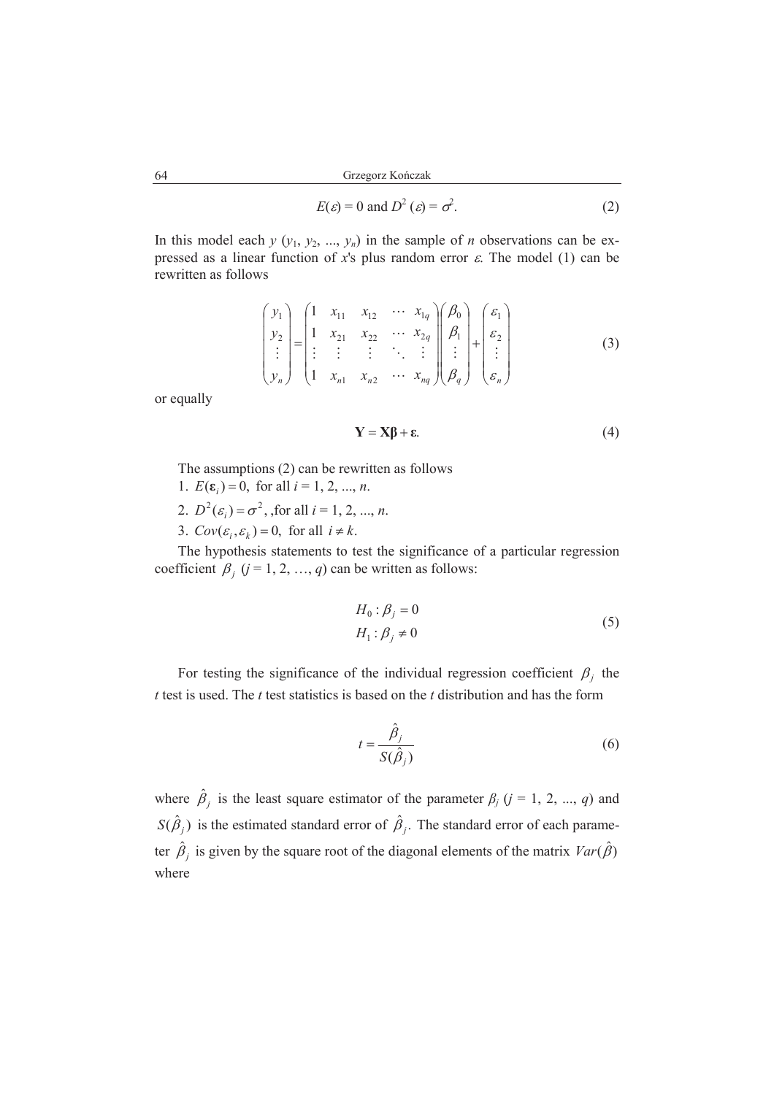$$
E(\varepsilon) = 0 \text{ and } D^2(\varepsilon) = \sigma^2. \tag{2}
$$

In this model each  $y$  ( $y_1$ ,  $y_2$ , ...,  $y_n$ ) in the sample of *n* observations can be expressed as a linear function of *x*'s plus random error  $\varepsilon$ . The model (1) can be rewritten as follows

$$
\begin{pmatrix}\ny_1 \\
y_2 \\
\vdots \\
y_n\n\end{pmatrix} = \begin{pmatrix}\n1 & x_{11} & x_{12} & \cdots & x_{1q} \\
1 & x_{21} & x_{22} & \cdots & x_{2q} \\
\vdots & \vdots & \vdots & \ddots & \vdots \\
1 & x_{n1} & x_{n2} & \cdots & x_{nq}\n\end{pmatrix} \begin{pmatrix}\n\beta_0 \\
\beta_1 \\
\vdots \\
\beta_q\n\end{pmatrix} + \begin{pmatrix}\n\varepsilon_1 \\
\varepsilon_2 \\
\vdots \\
\varepsilon_n\n\end{pmatrix}
$$
\n(3)

or equally

$$
Y = X\beta + \varepsilon. \tag{4}
$$

The assumptions (2) can be rewritten as follows

- 1.  $E(\varepsilon_i) = 0$ , for all  $i = 1, 2, ..., n$ .
- 2.  $D^2(\varepsilon_i) = \sigma^2$ , for all  $i = 1, 2, ..., n$ .
- 3.  $Cov(\varepsilon_i, \varepsilon_k) = 0$ , for all  $i \neq k$ .

 The hypothesis statements to test the significance of a particular regression coefficient  $\beta_j$  ( $j = 1, 2, ..., q$ ) can be written as follows:

$$
H_0: \beta_j = 0
$$
  
\n
$$
H_1: \beta_j \neq 0
$$
\n(5)

For testing the significance of the individual regression coefficient  $\beta_j$  the *t* test is used. The *t* test statistics is based on the *t* distribution and has the form

$$
t = \frac{\hat{\beta}_j}{S(\hat{\beta}_j)}
$$
 (6)

where  $\hat{\beta}_j$  is the least square estimator of the parameter  $\beta_j$  ( $j = 1, 2, ..., q$ ) and  $S(\hat{\beta}_j)$  is the estimated standard error of  $\hat{\beta}_j$ . The standard error of each parameter  $\hat{\beta}_j$  is given by the square root of the diagonal elements of the matrix  $Var(\hat{\beta})$ where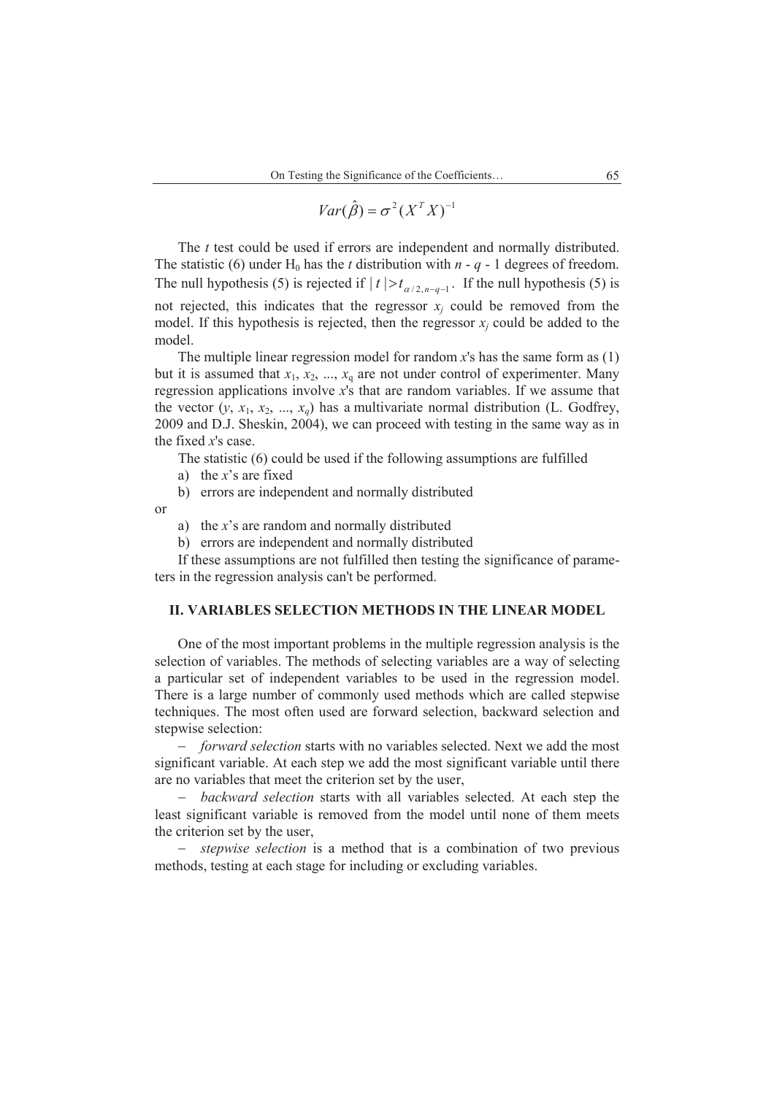$$
Var(\hat{\beta}) = \sigma^2 (X^T X)^{-1}
$$

 The *t* test could be used if errors are independent and normally distributed. The statistic (6) under H<sub>0</sub> has the *t* distribution with  $n - q - 1$  degrees of freedom. The null hypothesis (5) is rejected if  $|t| > t_{\alpha/2, n-q-1}$ . If the null hypothesis (5) is not rejected, this indicates that the regressor  $x_j$  could be removed from the model. If this hypothesis is rejected, then the regressor  $x_j$  could be added to the model.

 The multiple linear regression model for random *x*'s has the same form as (1) but it is assumed that  $x_1, x_2, ..., x_q$  are not under control of experimenter. Many regression applications involve *x*'s that are random variables. If we assume that the vector  $(y, x_1, x_2, ..., x_a)$  has a multivariate normal distribution (L. Godfrey, 2009 and D.J. Sheskin, 2004), we can proceed with testing in the same way as in the fixed *x*'s case.

The statistic (6) could be used if the following assumptions are fulfilled

a) the *x*'s are fixed

b) errors are independent and normally distributed

or

a) the *x*'s are random and normally distributed

b) errors are independent and normally distributed

 If these assumptions are not fulfilled then testing the significance of parameters in the regression analysis can't be performed.

## **II. VARIABLES SELECTION METHODS IN THE LINEAR MODEL**

 One of the most important problems in the multiple regression analysis is the selection of variables. The methods of selecting variables are a way of selecting a particular set of independent variables to be used in the regression model. There is a large number of commonly used methods which are called stepwise techniques. The most often used are forward selection, backward selection and stepwise selection:

 *forward selection* starts with no variables selected. Next we add the most significant variable. At each step we add the most significant variable until there are no variables that meet the criterion set by the user,

 *backward selection* starts with all variables selected. At each step the least significant variable is removed from the model until none of them meets the criterion set by the user,

 *stepwise selection* is a method that is a combination of two previous methods, testing at each stage for including or excluding variables.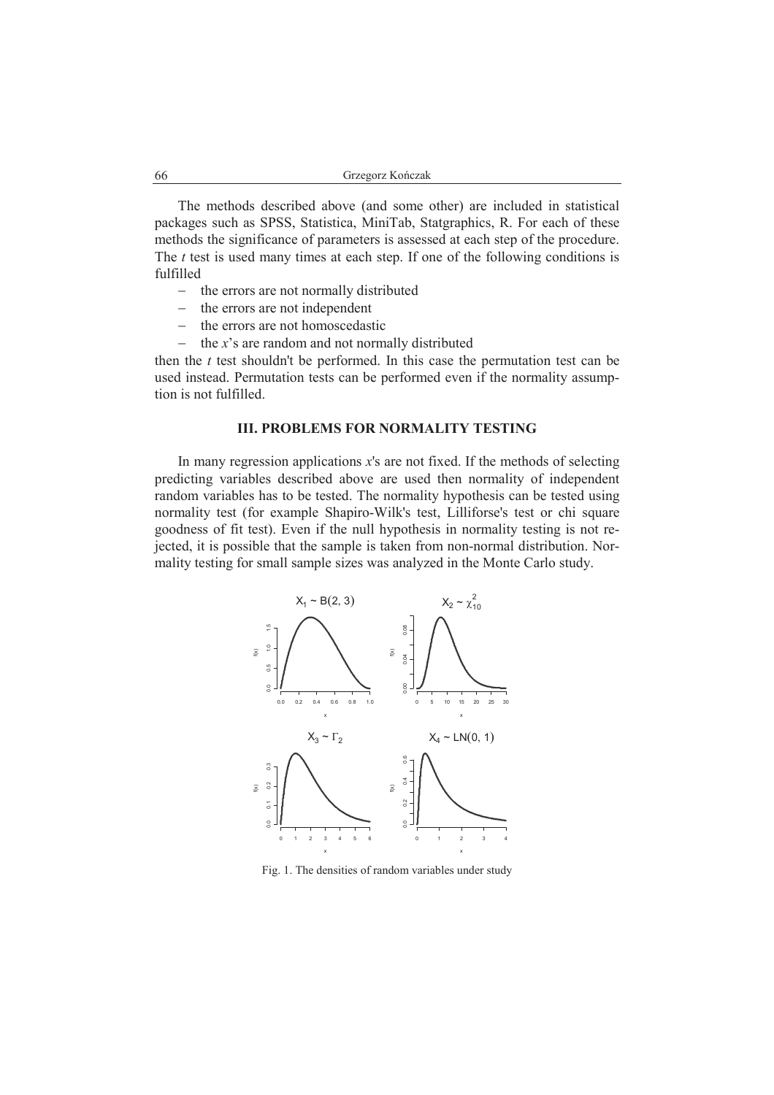The methods described above (and some other) are included in statistical packages such as SPSS, Statistica, MiniTab, Statgraphics, R. For each of these methods the significance of parameters is assessed at each step of the procedure. The *t* test is used many times at each step. If one of the following conditions is fulfilled

- the errors are not normally distributed
- the errors are not independent
- $-$  the errors are not homoscedastic
- $\theta$  the *x*'s are random and not normally distributed

then the *t* test shouldn't be performed. In this case the permutation test can be used instead. Permutation tests can be performed even if the normality assumption is not fulfilled.

### **III. PROBLEMS FOR NORMALITY TESTING**

 In many regression applications *x*'s are not fixed. If the methods of selecting predicting variables described above are used then normality of independent random variables has to be tested. The normality hypothesis can be tested using normality test (for example Shapiro-Wilk's test, Lilliforse's test or chi square goodness of fit test). Even if the null hypothesis in normality testing is not rejected, it is possible that the sample is taken from non-normal distribution. Normality testing for small sample sizes was analyzed in the Monte Carlo study.



Fig. 1. The densities of random variables under study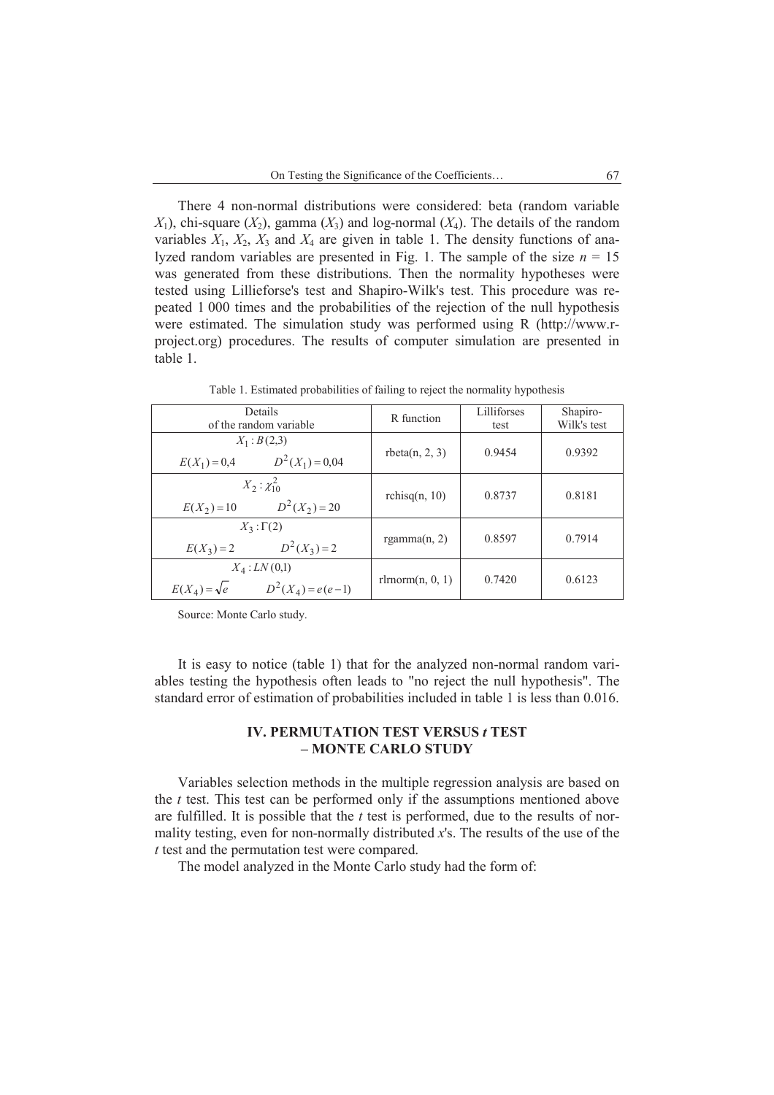There 4 non-normal distributions were considered: beta (random variable  $X_1$ ), chi-square  $(X_2)$ , gamma  $(X_3)$  and log-normal  $(X_4)$ . The details of the random variables  $X_1$ ,  $X_2$ ,  $X_3$  and  $X_4$  are given in table 1. The density functions of analyzed random variables are presented in Fig. 1. The sample of the size  $n = 15$ was generated from these distributions. Then the normality hypotheses were tested using Lillieforse's test and Shapiro-Wilk's test. This procedure was repeated 1 000 times and the probabilities of the rejection of the null hypothesis were estimated. The simulation study was performed using R (http://www.rproject.org) procedures. The results of computer simulation are presented in table 1.

| Details<br>of the random variable                               | R function         | Lilliforses<br>test | Shapiro-<br>Wilk's test |
|-----------------------------------------------------------------|--------------------|---------------------|-------------------------|
| $X_1 : B(2,3)$<br>$D^2(X_1) = 0.04$<br>$E(X_1) = 0,4$           | theta(n, 2, 3)     | 0.9454              | 0.9392                  |
| $X_2: \chi_{10}^2$<br>$D^2(X_2) = 20$<br>$E(X_2) = 10$          | rchisq $(n, 10)$   | 0.8737              | 0.8181                  |
| $X_3: \Gamma(2)$<br>$D^2(X_3) = 2$<br>$E(X_3) = 2$              | rgamma $(n, 2)$    | 0.8597              | 0.7914                  |
| $X_4$ : $LN(0,1)$<br>$D^2(X_4) = e(e-1)$<br>$E(X_4) = \sqrt{e}$ | rlmorm $(n, 0, 1)$ | 0.7420              | 0.6123                  |

Table 1. Estimated probabilities of failing to reject the normality hypothesis

Source: Monte Carlo study.

 It is easy to notice (table 1) that for the analyzed non-normal random variables testing the hypothesis often leads to "no reject the null hypothesis". The standard error of estimation of probabilities included in table 1 is less than 0.016.

## **IV. PERMUTATION TEST VERSUS** *t* **TEST – MONTE CARLO STUDY**

 Variables selection methods in the multiple regression analysis are based on the *t* test. This test can be performed only if the assumptions mentioned above are fulfilled. It is possible that the *t* test is performed, due to the results of normality testing, even for non-normally distributed *x*'s. The results of the use of the *t* test and the permutation test were compared.

The model analyzed in the Monte Carlo study had the form of: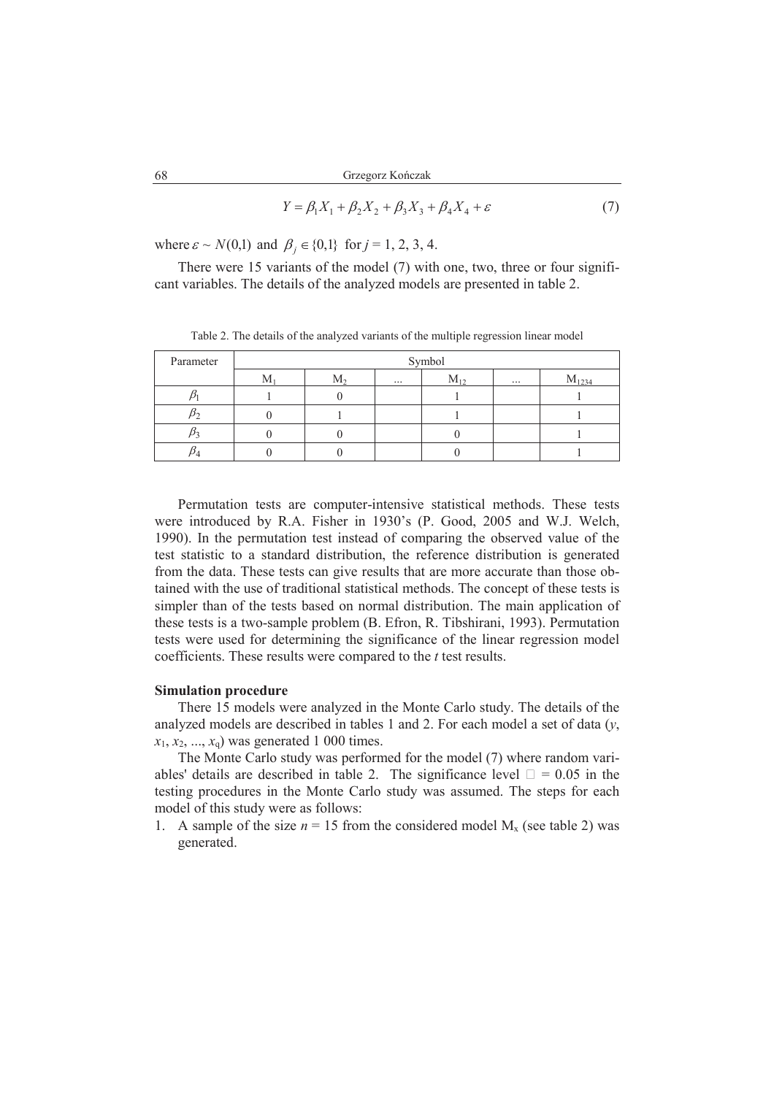$$
Y = \beta_1 X_1 + \beta_2 X_2 + \beta_3 X_3 + \beta_4 X_4 + \varepsilon \tag{7}
$$

where  $\varepsilon \sim N(0,1)$  and  $\beta_j \in \{0,1\}$  for  $j = 1, 2, 3, 4$ .

 There were 15 variants of the model (7) with one, two, three or four significant variables. The details of the analyzed models are presented in table 2.

| Parameter | Symbol |                |          |          |          |            |
|-----------|--------|----------------|----------|----------|----------|------------|
|           | $M_1$  | M <sub>2</sub> | $\cdots$ | $M_{12}$ | $\cdots$ | $M_{1234}$ |
|           |        |                |          |          |          |            |
|           |        |                |          |          |          |            |
|           |        |                |          |          |          |            |
|           |        |                |          |          |          |            |

Table 2. The details of the analyzed variants of the multiple regression linear model

 Permutation tests are computer-intensive statistical methods. These tests were introduced by R.A. Fisher in 1930's (P. Good, 2005 and W.J. Welch, 1990). In the permutation test instead of comparing the observed value of the test statistic to a standard distribution, the reference distribution is generated from the data. These tests can give results that are more accurate than those obtained with the use of traditional statistical methods. The concept of these tests is simpler than of the tests based on normal distribution. The main application of these tests is a two-sample problem (B. Efron, R. Tibshirani, 1993). Permutation tests were used for determining the significance of the linear regression model coefficients. These results were compared to the *t* test results.

#### **Simulation procedure**

 There 15 models were analyzed in the Monte Carlo study. The details of the analyzed models are described in tables 1 and 2. For each model a set of data (*y*,  $x_1, x_2, ..., x_q$  was generated 1 000 times.

 The Monte Carlo study was performed for the model (7) where random variables' details are described in table 2. The significance level  $! = 0.05$  in the testing procedures in the Monte Carlo study was assumed. The steps for each model of this study were as follows:

1. A sample of the size  $n = 15$  from the considered model  $M<sub>x</sub>$  (see table 2) was generated.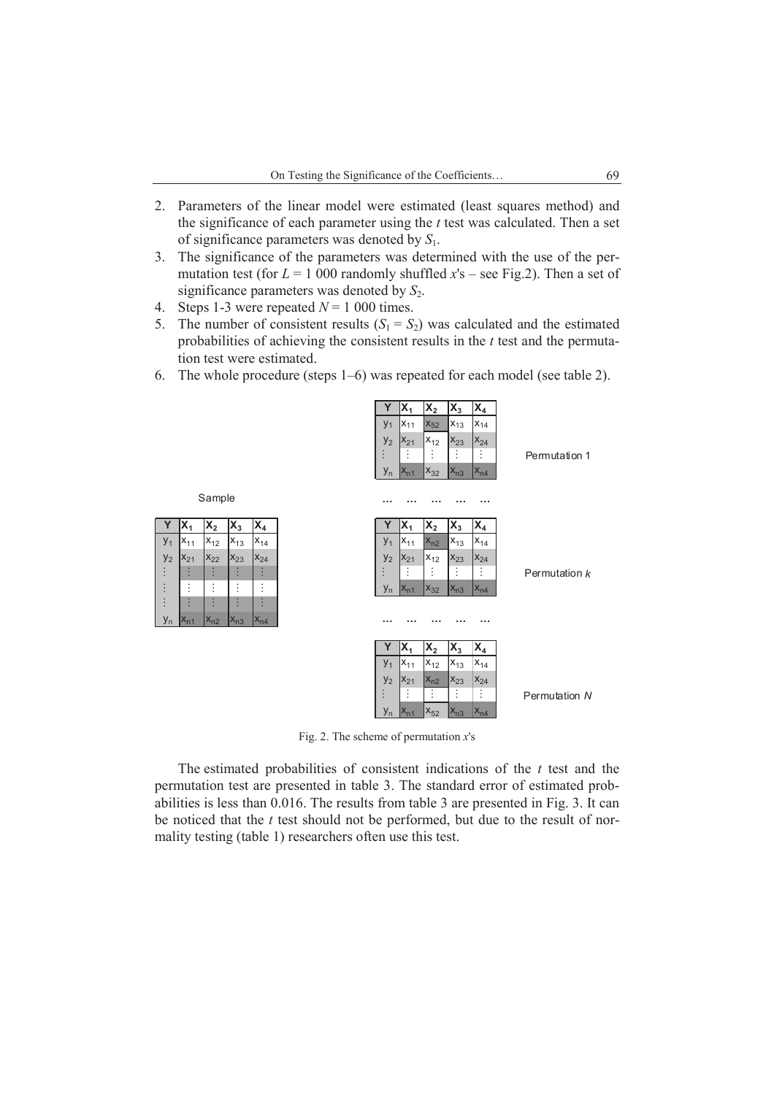- 2. Parameters of the linear model were estimated (least squares method) and the significance of each parameter using the *t* test was calculated. Then a set of significance parameters was denoted by *S*1.
- 3. The significance of the parameters was determined with the use of the permutation test (for  $L = 1000$  randomly shuffled  $x$ 's – see Fig.2). Then a set of significance parameters was denoted by  $S_2$ .
- 4. Steps 1-3 were repeated  $N = 1000$  times.

 $y<sub>1</sub>$ 

Sample

 $y<sub>2</sub>$  $x_{21}$  $x_{22}$ …  $x_{23}$ …  $x_{24}$ …

… … … … …

… … … …

yn

- 5. The number of consistent results  $(S_1 = S_2)$  was calculated and the estimated probabilities of achieving the consistent results in the *t* test and the permutation test were estimated.
- 6. The whole procedure (steps 1–6) was repeated for each model (see table 2).



Fig. 2. The scheme of permutation *x*'s

 The estimated probabilities of consistent indications of the *t* test and the permutation test are presented in table 3. The standard error of estimated probabilities is less than 0.016. The results from table 3 are presented in Fig. 3. It can be noticed that the *t* test should not be performed, but due to the result of normality testing (table 1) researchers often use this test.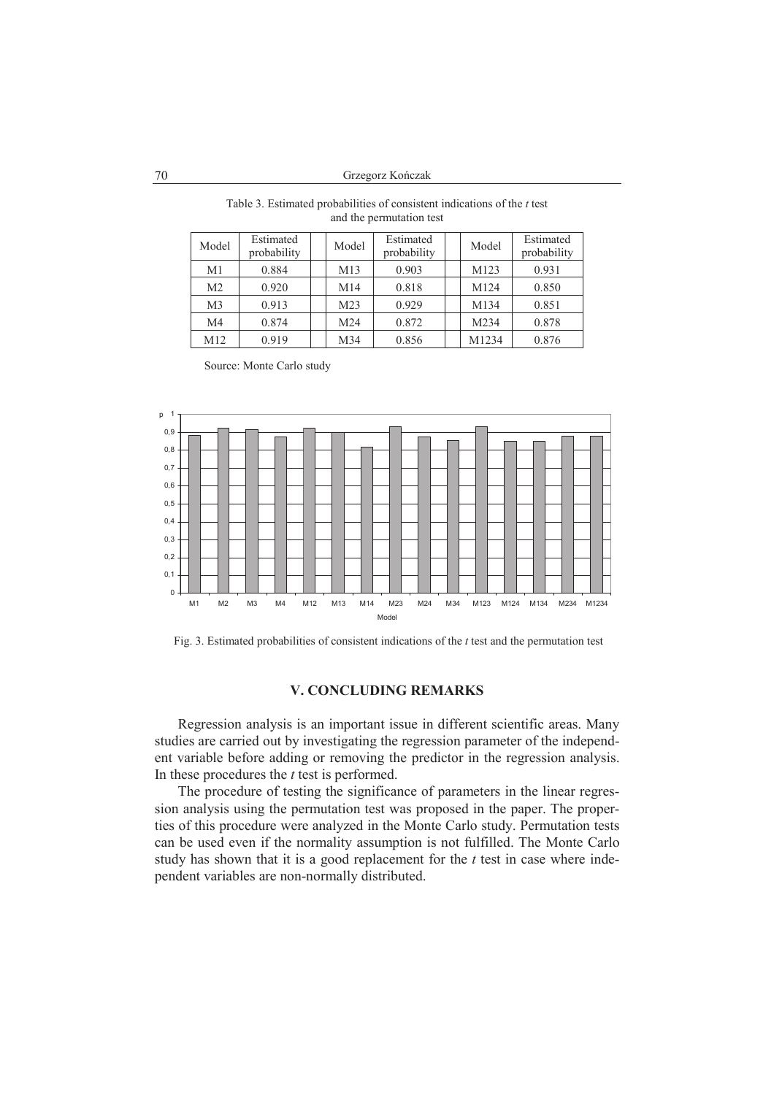70 Grzegorz Kończak

| Model          | Estimated<br>probability | Model | Estimated<br>probability | Model | Estimated<br>probability |
|----------------|--------------------------|-------|--------------------------|-------|--------------------------|
| M1             | 0.884                    | M13   | 0.903                    | M123  | 0.931                    |
| M <sub>2</sub> | 0.920                    | M14   | 0.818                    | M124  | 0.850                    |
| M <sub>3</sub> | 0.913                    | M23   | 0.929                    | M134  | 0.851                    |
| M4             | 0.874                    | M24   | 0.872                    | M234  | 0.878                    |
| M12            | 0.919                    | M34   | 0.856                    | M1234 | 0.876                    |

Table 3. Estimated probabilities of consistent indications of the *t* test and the permutation test

Source: Monte Carlo study



Fig. 3. Estimated probabilities of consistent indications of the *t* test and the permutation test

## **V. CONCLUDING REMARKS**

 Regression analysis is an important issue in different scientific areas. Many studies are carried out by investigating the regression parameter of the independent variable before adding or removing the predictor in the regression analysis. In these procedures the *t* test is performed.

 The procedure of testing the significance of parameters in the linear regression analysis using the permutation test was proposed in the paper. The properties of this procedure were analyzed in the Monte Carlo study. Permutation tests can be used even if the normality assumption is not fulfilled. The Monte Carlo study has shown that it is a good replacement for the *t* test in case where independent variables are non-normally distributed.